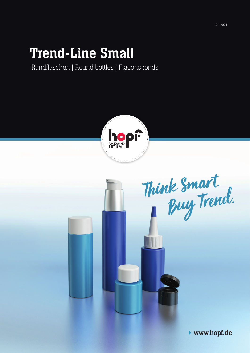# Trend-Line Small

Rundflaschen | Round bottles | Flacons ronds





www.hopf.de